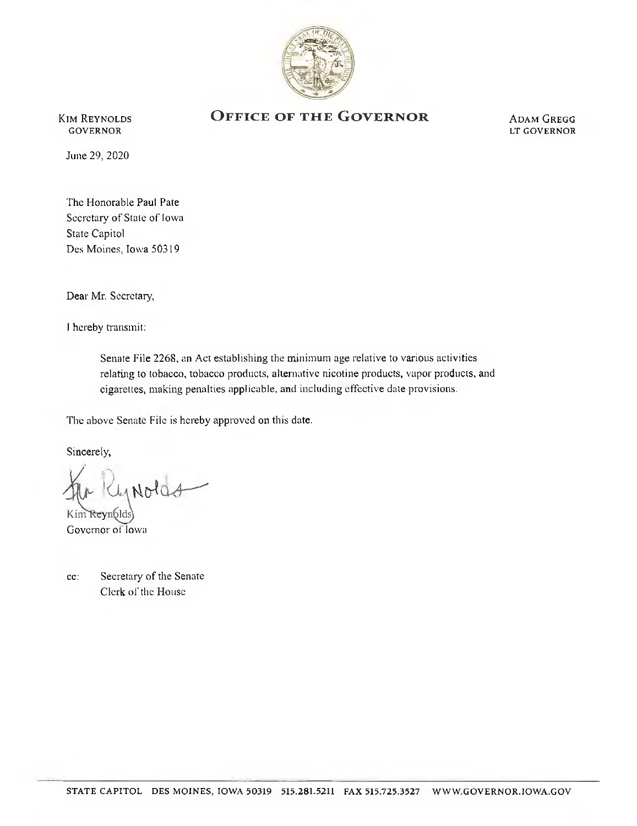

**KIM REYNOLDS GOVERNOR** 

## OFFICE OF THE GOVERNOR

**ADAM GREGG** LT GOVERNOR

June 29, 2020

The Honorable Paul Pate Secretary of State of Iowa State Capitol Des Moines, Iowa 50319

Dear Mr. Secretary,

I hereby transmit:

Senate File 2268, an Act establishing the minimum age relative to various activities relating to tobacco, tobacco products, alternative nicotine products, vapor products, and cigarettes, making penalties applicable, and including effective date provisions.

The above Senate File is hereby approved on this date.

Sincerely,

Nolc

Governor of Iowa

| $cc$ : | Secretary of the Senate |
|--------|-------------------------|
|        | Clerk of the House      |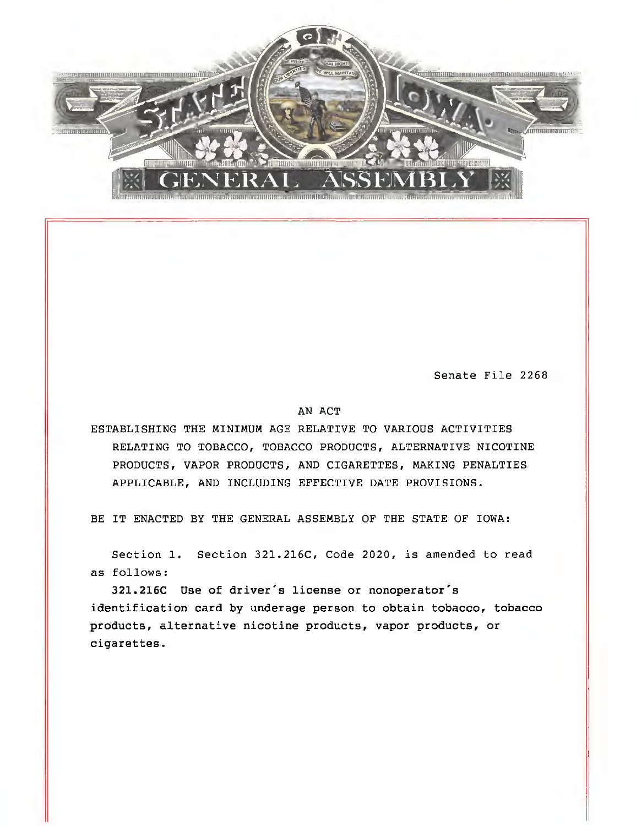

Senate File 2268

## AN ACT

ESTABLISHING THE MINIMUM AGE RELATIVE TO VARIOUS ACTIVITIES RELATING TO TOBACCO, TOBACCO PRODUCTS, ALTERNATIVE NICOTINE PRODUCTS, VAPOR PRODUCTS, AND CIGARETTES, MAKING PENALTIES APPLICABLE, AND INCLUDING EFFECTIVE DATE PROVISIONS.

BE IT ENACTED BY THE GENERAL ASSEMBLY OF THE STATE OF IOWA:

Section 1. Section 321.216C, Code 2020, is amended to read as follows:

321.216C Use of driver's license or nonoperator's identification card by underage person to obtain tobacco, tobacco products, alternative nicotine products, vapor products, or cigarettes.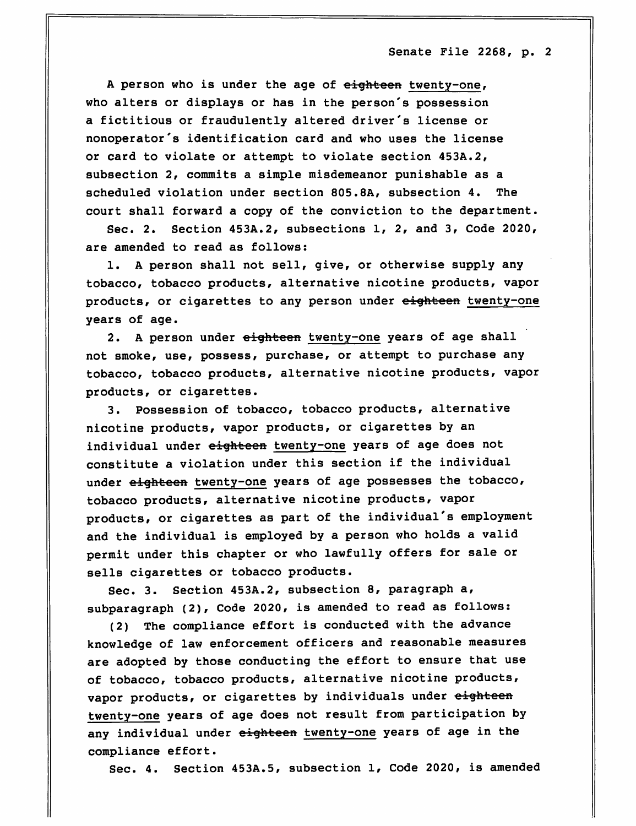A person who is under the age of eighteen twenty-one, who alters or displays or has in the person's possession a fictitious or fraudulently altered driver's license or nonoperator's identification card and who uses the license or card to violate or attempt to violate section 453A.2, subsection 2, commits a simple misdemeanor punishable as a scheduled violation under section 805.8A, subsection 4. The court shall forward a copy of the conviction to the department.

Sec. 2. Section 453A.2, subsections 1, 2, and 3, Code 2020,

1. A person shall not sell, give, or otherwise supply any tobacco, tobacco products, alternative nicotine products, vapor products, or cigarettes to any person under eighteen twenty-one years of age.

2. A person under eighteen twenty-one years of age shall not smoke, use, possess, purchase, or attempt to purchase any tobacco, tobacco products, alternative nicotine products, vapor products, or cigarettes.

3. Possession of tobacco, tobacco products, alternative nicotine products, vapor products, or cigarettes by an individual under eighteen twenty-one years of age does not constitute a violation under this section if the individual under eighteen twenty-one years of age possesses the tobacco, tobacco products, alternative nicotine products, vapor products, or cigarettes as part of the individual's employment and the individual is employed by a person who holds a valid permit under this chapter or who lawfully offers for sale or sells cigarettes or tobacco products.

Sec. 3. Section 453A.2, subsection 8, paragraph a, subparagraph (2), Code 2020, is amended to read as follows:

(2) The compliance effort is conducted with the advance knowledge of law enforcement officers and reasonable measures are adopted by those conducting the effort to ensure that use of tobacco, tobacco products, alternative nicotine products, vapor products, or cigarettes by individuals under eighteen twenty-one years of age does not result from participation by any individual under eighteen twenty-one years of age in the compliance effort.

Sec. 4. Section 453A.5, subsection 1, Code 2020, is amended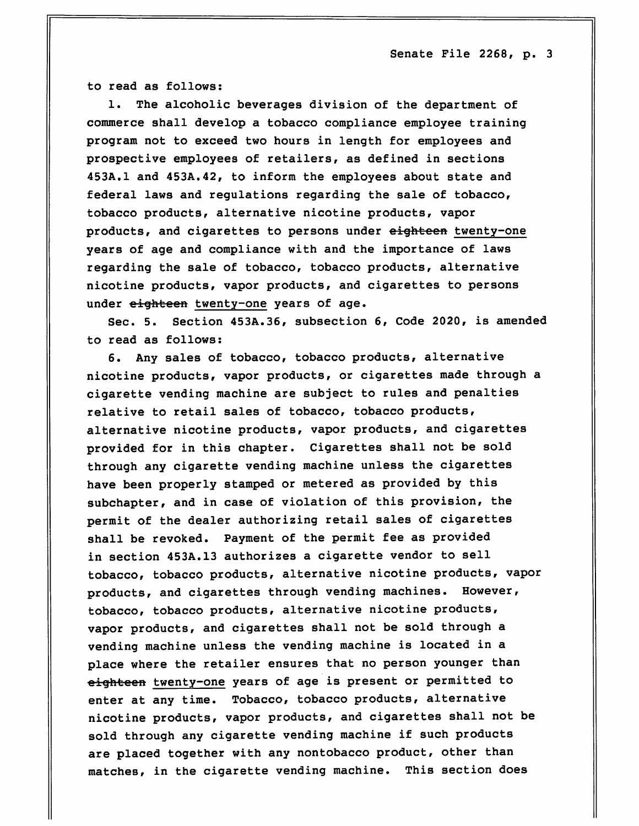to read as follows: to read as follows: the following the following the following the following the following the following the following the following the following the following the following the following the following the following the fo

1. The alcoholic beverages division of the department of commerce shall develop a tobacco compliance employee training program not to exceed two hours in length for employees and prospective employees of retailers, as defined in sections 453A.1 and 453A.42, to inform the employees about state and federal laws and regulations regarding the sale of tobacco, tobacco products, alternative nicotine products, vapor products, and cigarettes to persons under eighteen twenty-one years of age and compliance with and the importance of laws regarding the sale of tobacco, tobacco products, alternative nicotine products, vapor products, and cigarettes to persons under eighteen twenty-one years of age.

Sec. 5. Section 453A.36, subsection 6, Code 2020, is amended to read as follows:  $t_{\rm c}$  reads as follows: and as follows: a following as follows: a following as follows: a following as follows:

6. Any sales of tobacco, tobacco products, alternative nicotine products, vapor products, or cigarettes made through a cigarette vending machine are subject to rules and penalties relative to retail sales of tobacco, tobacco products, alternative nicotine products, vapor products, and cigarettes provided for in this chapter. Cigarettes shall not be sold through any cigarette vending machine unless the cigarettes have been properly stamped or metered as provided by this subchapter, and in case of violation of this provision, the permit of the dealer authorizing retail sales of cigarettes shall be revoked. Payment of the permit fee as provided in section 453A.13 authorizes a cigarette vendor to sell tobacco, tobacco products, alternative nicotine products, vapor products, and cigarettes through vending machines. However, tobacco, tobacco products, alternative nicotine products, vapor products, and cigarettes shall not be sold through a vending machine unless the vending machine is located in a place where the retailer ensures that no person younger than eighteen twenty-one years of age is present or permitted to enter at any time. Tobacco, tobacco products, alternative nicotine products, vapor products, and cigarettes shall not be sold through any cigarette vending machine if such products are placed together with any nontobacco product, other than matches, in the cigarette vending machine. This section does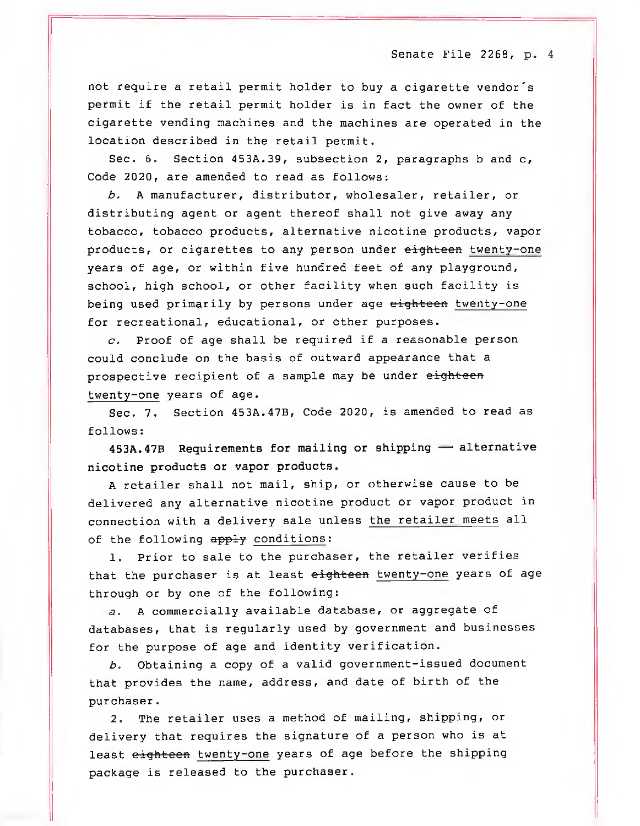not require a retail permit holder to buy a cigarette vendor's permit if the retail permit holder is in fact the owner of the cigarette vending machines and the machines are operated in the location described in the retail permit.

Sec. 6. Section 453A.39, subsection 2, paragraphs b and c, Code 2020, are amended to read as follows:

b, A manufacturer, distributor, wholesaler, retailer, or distributing agent or agent thereof shall not give away any tobacco, tobacco products, alternative nicotine products, vapor products, or cigarettes to any person under eighteen twenty-one years of age, or within five hundred feet of any playground, school, high school, or other facility when such facility is being used primarily by persons under age eighteen twenty-one for recreational, educational, or other purposes.

 $c.$  Proof of age shall be required if a reasonable person could conclude on the basis of outward appearance that a prospective recipient of a sample may be under eighteen twenty-one years of age.

Sec. 7. Section 453A.47B, Code 2020, is amended to read as follows: follows:

453A.47B Requirements for mailing or shipping — alternative nicotine products or vapor products.

A retailer shall not mail, ship, or otherwise cause to be delivered any alternative nicotine product or vapor product in connection with a delivery sale unless the retailer meets all of the following apply conditions:

1. Prior to sale to the purchaser, the retailer verifies that the purchaser is at least eighteen twenty-one years of age through or by one of the following:

a, A commercially available database, or aggregate of databases, that is regularly used by government and businesses for the purpose of age and identity verification.

b. Obtaining a copy of a valid government-issued document that provides the name, address, and date of birth of the purchaser.

2. The retailer uses a method of mailing, shipping, or delivery that requires the signature of a person who is at least eighteen twenty-one years of age before the shipping package is released to the purchaser.